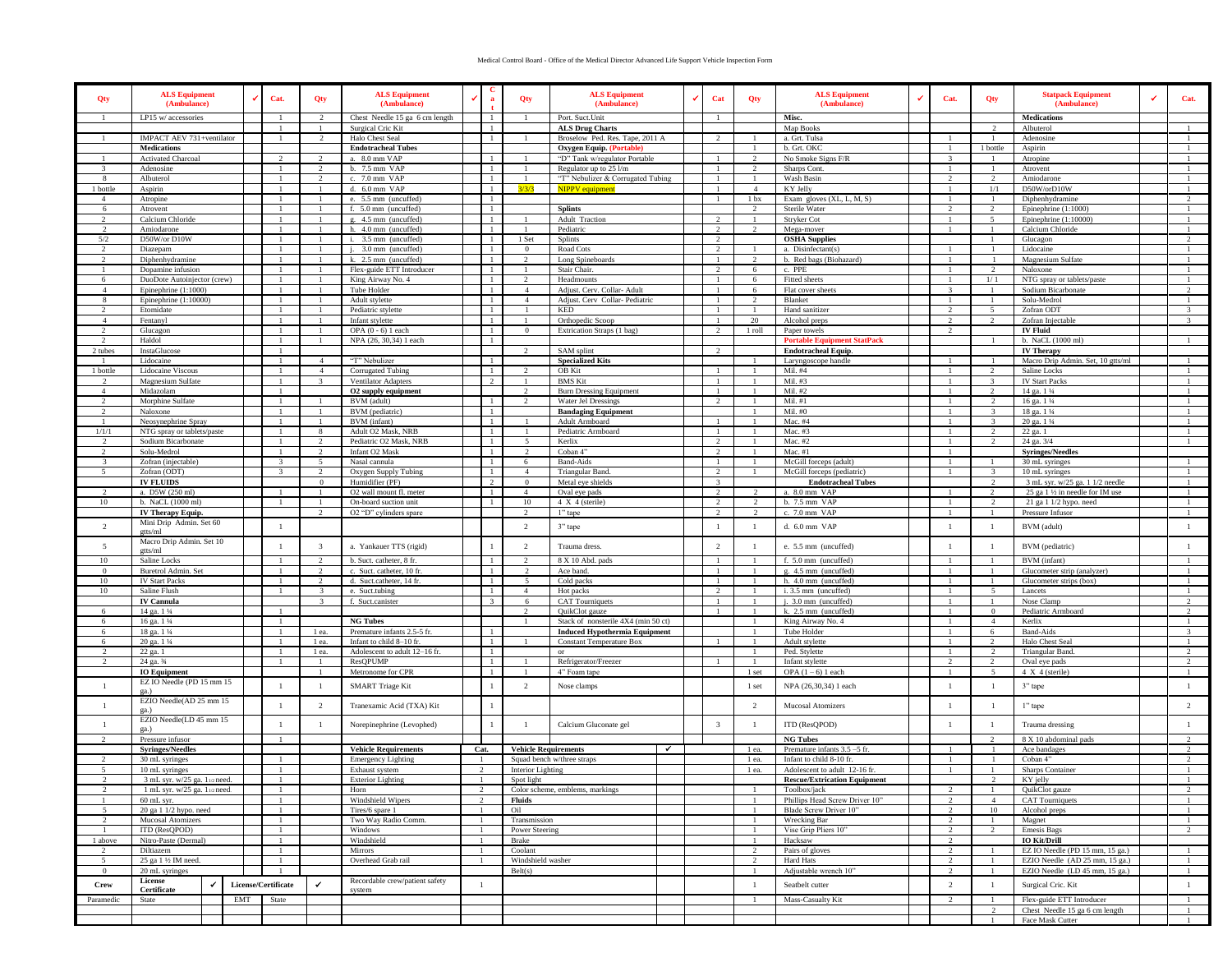## Medical Control Board - Office of the Medical Director Advanced Life Support Vehicle Inspection Form

| Qty                       | <b>ALS Equipment</b><br>(Ambulance)                 | Cat.                    | Qty                              | <b>ALS Equipment</b><br>(Ambulance)                      | ✔              | a                    | Qty                            | <b>ALS Equipment</b><br>(Ambulance)                                     |  | Cat                              | Qty                      | <b>ALS Equipment</b><br>(Ambulance)                      | ✔ | Cat.           | Qty                            | <b>Statpack Equipment</b><br>(Ambulance)                    | Cat.                         |
|---------------------------|-----------------------------------------------------|-------------------------|----------------------------------|----------------------------------------------------------|----------------|----------------------|--------------------------------|-------------------------------------------------------------------------|--|----------------------------------|--------------------------|----------------------------------------------------------|---|----------------|--------------------------------|-------------------------------------------------------------|------------------------------|
| $\mathbf{1}$              | LP15 w/accessories                                  |                         | $\overline{2}$                   | Chest Needle 15 ga 6 cm length                           |                | -1                   |                                | Port. Suct. Unit                                                        |  | $\overline{1}$                   |                          | Misc.                                                    |   |                |                                | <b>Medications</b>                                          |                              |
|                           |                                                     |                         |                                  | Surgical Cric Kit                                        |                | -1<br>$\overline{1}$ |                                | <b>ALS Drug Charts</b>                                                  |  | $\gamma$                         |                          | Map Books                                                |   |                |                                | Albuterol                                                   |                              |
|                           | IMPACT AEV 731+ventilator<br><b>Medications</b>     |                         |                                  | Halo Chest Seal<br><b>Endotracheal Tubes</b>             |                |                      |                                | Broselow Ped. Res. Tape, 2011 A<br>Oxygen Equip. (Portable)             |  |                                  |                          | a. Grt. Tulsa<br>b. Grt. OKC                             |   | $\overline{1}$ | 1 bottle                       | Adenosine<br>Aspirin                                        |                              |
| $\mathbf{1}$              | Activated Charcoal                                  | $\mathcal{L}$           | $\overline{2}$                   | a. 8.0 mm VAP                                            |                |                      |                                | "D" Tank w/regulator Portable                                           |  | $\mathbf{1}$                     | 2                        | No Smoke Signs F/R                                       |   | -3             | $\overline{1}$                 | Atropine                                                    |                              |
| $\mathcal{R}$             | Adenosine                                           |                         | $\overline{2}$                   | b. 7.5 mm VAP                                            |                | $\overline{1}$       |                                | Regulator up to 25 l/m                                                  |  | $\overline{1}$                   | $\mathcal{D}$            | Sharps Cont.                                             |   | $\overline{1}$ | $\overline{1}$                 | Atrovent                                                    |                              |
| -8                        | Albuterol                                           |                         | $\overline{2}$                   | c. 7.0 mm VAP                                            |                |                      |                                | "T" Nebulizer & Corrugated Tubing                                       |  |                                  |                          | Wash Basin                                               |   | $\overline{2}$ | $\overline{2}$                 | Amiodarone                                                  |                              |
| 1 bottle                  | Aspirin                                             |                         | $\mathbf{1}$                     | d. 6.0 mm VAP                                            |                | $\overline{1}$       | 3/3/3                          | <b>NIPPV</b> equipment                                                  |  | $\overline{1}$                   | $\overline{4}$           | KY Jelly                                                 |   |                | 1/1                            | D50W/orD10W                                                 | $\mathbf{1}$                 |
| $\overline{4}$            | Atropine                                            |                         |                                  | e. 5.5 mm (uncuffed)<br>f. 5.0 mm (uncuffed)             |                |                      |                                |                                                                         |  |                                  | 1 <sub>bx</sub>          | Exam gloves (XL, L, M, S)                                |   | $\overline{2}$ |                                | Diphenhydramine<br>Epinephrine $(1:1000)$                   | $\gamma$                     |
| 6<br>$\overline{2}$       | Atrovent<br>Calcium Chloride                        | -1                      | -1<br>$\overline{1}$             | g. 4.5 mm (uncuffed)                                     |                | $\overline{1}$       |                                | <b>Splints</b><br>Adult Traction                                        |  | $\overline{2}$                   | -1                       | Sterile Water<br>Stryker Cot                             |   | -1             | 2<br>$\sim$                    | Epinephrine (1:10000)                                       | $\mathbf{1}$                 |
| $\mathcal{L}$             | Amiodarone                                          |                         |                                  | h. 4.0 mm (uncuffed)                                     |                | $\overline{1}$       |                                | Pediatric                                                               |  | $\mathcal{L}$                    |                          | Mega-mover                                               |   |                | $\overline{1}$                 | Calcium Chloride                                            |                              |
| 5/2                       | D50W/or D10W                                        |                         | $\mathbf{1}$                     | i. 3.5 mm (uncuffed)                                     |                | -1                   | 1 Set                          | Splints                                                                 |  | 2                                |                          | <b>OSHA</b> Supplies                                     |   |                | $\overline{1}$                 | Glucagon                                                    | 2                            |
| $\mathcal{D}$             | Diazepam                                            |                         | $\overline{1}$                   | j. 3.0 mm (uncuffed)                                     |                | $\overline{1}$       | $\Omega$                       | Road Cots                                                               |  | $\overline{2}$                   |                          | a. Disinfectant(s)                                       |   |                |                                | Lidocaine                                                   |                              |
|                           | Diphenhydramine                                     |                         |                                  | k. 2.5 mm (uncuffed)                                     |                |                      |                                | Long Spineboards                                                        |  |                                  |                          | b. Red bags (Biohazard)                                  |   |                |                                | Magnesium Sulfate                                           |                              |
| $\mathbf{1}$<br>-6        | Dopamine infusion                                   | -1                      | $\mathbf{1}$<br>-1               | Flex-guide ETT Introducer<br>King Airway No. 4           |                | $\overline{1}$       | $\mathcal{L}$                  | Stair Chair.<br>Headmounts                                              |  | $\overline{2}$<br>-1             | 6<br>6                   | c. PPE<br>Fitted sheets                                  |   | -1             | 2<br>1/1                       | Naloxone<br>NTG spray or tablets/paste                      | $\mathbf{1}$                 |
| $\overline{4}$            | DuoDote Autoinjector (crew)<br>Epinephrine (1:1000) |                         | $\overline{1}$                   | Tube Holder                                              |                | $\overline{1}$       | $\overline{4}$                 | Adjust. Cerv. Collar- Adult                                             |  | $\overline{1}$                   | 6                        | Flat cover sheets                                        |   | $\mathcal{R}$  | $\overline{1}$                 | Sodium Bicarbonate                                          | 2                            |
| 8                         | Epinephrine (1:10000)                               |                         | $\mathbf{1}$                     | Adult stylette                                           |                | $\overline{1}$       | $\overline{4}$                 | Adjust. Cerv Collar-Pediatric                                           |  | $\overline{1}$                   | $\overline{\mathcal{L}}$ | Blanket                                                  |   | $\overline{1}$ | $\overline{1}$                 | Solu-Medrol                                                 | $\mathbf{1}$                 |
| $\mathcal{D}$             | Etomidate                                           |                         | $\mathbf{1}$                     | Pediatric stylette                                       |                | -1                   |                                | <b>KED</b>                                                              |  | $\overline{1}$                   |                          | Hand sanitizer                                           |   | $\overline{2}$ | $\sim$                         | Zofran ODT                                                  | $\overline{3}$               |
| $\mathbf{A}$              | Fentanyl                                            |                         | $\mathbf{1}$                     | Infant stylette                                          |                | $\overline{1}$       |                                | Orthopedic Scoop                                                        |  | $\overline{1}$                   | 20                       | Alcohol preps                                            |   | $\gamma$       | $\gamma$                       | Zofran Injectable                                           | $\mathcal{R}$                |
|                           | Glucagon                                            |                         | $\mathbf{1}$                     | OPA (0 - 6) 1 each                                       |                |                      | $\mathbf{0}$                   | Extrication Straps (1 bag)                                              |  |                                  | 1 roll                   | Paper towels                                             |   |                |                                | <b>IV Fluid</b>                                             |                              |
| 2                         | Haldol                                              | -1                      | -1                               | NPA (26, 30,34) 1 each                                   |                | -1                   |                                |                                                                         |  |                                  |                          | <b>Portable Equipment StatPack</b>                       |   |                | -1                             | b. NaCL (1000 ml)                                           | $\mathbf{1}$                 |
| 2 tubes<br>$\overline{1}$ | InstaGlucose<br>Lidocaine                           |                         | $\overline{4}$                   | "T" Nebulizer                                            |                | -1                   | $\mathcal{D}$                  | SAM splint<br><b>Specialized Kits</b>                                   |  |                                  |                          | <b>Endotracheal Equip.</b><br>Laryngoscope handle        |   |                |                                | <b>IV Therapy</b><br>Macro Drip Admin. Set, 10 gtts/ml      |                              |
| 1 bottle                  | Lidocaine Viscous                                   |                         | $\overline{A}$                   | Corrugated Tubing                                        |                | $\overline{1}$       |                                | OB Kit                                                                  |  | $\overline{1}$                   |                          | Mil. #4                                                  |   |                | $\mathcal{D}$                  | Saline Locks                                                |                              |
|                           | Magnesium Sulfate                                   |                         |                                  | <b>Ventilator Adapters</b>                               |                |                      |                                | <b>BMS</b> Kit                                                          |  |                                  |                          | Mil. #3                                                  |   |                |                                | <b>IV Start Packs</b>                                       |                              |
| $\overline{4}$            | Midazolam                                           |                         |                                  | O2 supply equipment                                      |                |                      | $\overline{2}$                 | <b>Burn Dressing Equipment</b>                                          |  |                                  |                          | Mil. #2                                                  |   |                | 2                              | 14 ga. 1 1/4                                                |                              |
| $2^{1}$                   | Morphine Sulfate                                    |                         | $\mathbf{1}$                     | BVM (adult)                                              |                |                      | $\mathcal{L}$                  | Water Jel Dressings                                                     |  | $\mathcal{L}$                    |                          | Mil. #1                                                  |   | -1             | 2                              | 16 ga. 1 1/4                                                |                              |
| $2^{1}$                   | Naloxone                                            |                         |                                  | BVM (pediatric)                                          |                | $\overline{1}$       |                                | <b>Bandaging Equipment</b>                                              |  |                                  |                          | Mil. #0                                                  |   |                | $\mathcal{R}$                  | 18 ga. 1 1/4                                                |                              |
| $\mathbf{1}$              | Neosynephrine Spray                                 |                         | $\mathbf{1}$<br>8                | BVM (infant)                                             |                | $\overline{1}$       |                                | Adult Armboard                                                          |  | $\overline{1}$                   |                          | Mac. #4                                                  |   | $\overline{1}$ | $\mathcal{R}$<br>2             | 20 ga. 1 1/4                                                |                              |
| 1/1/1                     | NTG spray or tablets/paste<br>Sodium Bicarbonate    |                         | $\mathcal{L}$                    | Adult O2 Mask, NRB<br>Pediatric O2 Mask, NRB             |                | $\overline{1}$       |                                | Pediatric Armboard<br>Kerlix                                            |  | $\sim$                           |                          | Mac. #3<br>Mac. #2                                       |   |                |                                | 22 ga. 1<br>24 ga. 3/4                                      |                              |
|                           | Solu-Medrol                                         |                         | 2                                | Infant O2 Mask                                           |                |                      |                                | Coban 4"                                                                |  | $\overline{2}$                   |                          | Mac. #1                                                  |   |                |                                | <b>Syringes/Needles</b>                                     |                              |
| 3                         | Zofran (injectable)                                 | $\overline{\mathbf{3}}$ | -5                               | Nasal cannula                                            |                | $\overline{1}$       | -6                             | <b>Band-Aids</b>                                                        |  | -1                               | -1                       | McGill forceps (adult)                                   |   | -1             | $\mathbf{1}$                   | 30 mL syringes                                              | $\mathbf{1}$                 |
| 5                         | Zofran (ODT)                                        | $\mathcal{R}$           | $\overline{2}$                   | Oxygen Supply Tubing                                     |                | $\overline{1}$       | $\overline{4}$                 | Triangular Band.                                                        |  | $\gamma$                         |                          | McGill forceps (pediatric)                               |   | $\overline{1}$ | $\mathcal{R}$                  | 10 mL syringes                                              | $\overline{1}$               |
|                           | <b>IV FLUIDS</b>                                    |                         | $\Omega$                         | Humidifier (PF)                                          |                | 2                    | $\Omega$                       | Metal eve shields                                                       |  | $\mathcal{R}$                    |                          | <b>Endotracheal Tubes</b>                                |   |                | $\overline{2}$                 | 3 mL syr. w/25 ga. 1 1/2 needle                             | $\mathbf{1}$                 |
| $\gamma$                  | a. D5W (250 ml)                                     |                         | $\mathbf{1}$                     | O2 wall mount fl. meter                                  |                | -1                   | $\overline{4}$                 | Oval eye pads                                                           |  | 2                                | $\mathcal{D}$            | a. 8.0 mm VAP                                            |   |                | $\mathcal{D}$                  | 25 ga 1 1/2 in needle for IM use                            | $\overline{1}$               |
| $10\,$                    | b. NaCL (1000 ml)                                   |                         | $\overline{2}$                   | On-board suction unit<br>O2 "D" cylinders spare          |                |                      | 10                             | $4 X 4$ (sterile)<br>1" tape                                            |  | $\mathfrak{D}$<br>2              |                          | b. 7.5 mm VAP<br>c. 7.0 mm VAP                           |   |                | -1                             | 21 ga 1 1/2 hypo. need<br>Pressure Infusor                  |                              |
|                           | IV Therapy Equip.<br>Mini Drip Admin. Set 60        |                         |                                  |                                                          |                |                      |                                |                                                                         |  |                                  |                          |                                                          |   |                |                                |                                                             |                              |
| 2                         | etts/ml                                             | -1                      |                                  |                                                          |                |                      | $\overline{2}$                 | 3" tape                                                                 |  | $\overline{1}$                   | -1                       | d. 6.0 mm VAP                                            |   | $\overline{1}$ | $\overline{1}$                 | BVM (adult)                                                 | $\overline{1}$               |
| 5                         | Macro Drip Admin. Set 10                            | $\overline{1}$          | $\overline{\mathbf{3}}$          | a. Yankauer TTS (rigid)                                  |                |                      | $\overline{2}$                 | Trauma dress.                                                           |  | $\overline{2}$                   | -1                       | e. 5.5 mm (uncuffed)                                     |   | $\overline{1}$ | $\overline{1}$                 | BVM (pediatric)                                             | $\mathbf{1}$                 |
|                           | gtts/ml                                             |                         |                                  |                                                          |                |                      |                                |                                                                         |  |                                  |                          |                                                          |   |                |                                |                                                             |                              |
| 10<br>$\Omega$            | Saline Locks<br>Buretrol Admin. Set                 |                         | $\overline{2}$<br>$\overline{2}$ | b. Suct. catheter, 8 fr.<br>c. Suct. catheter, 10 fr     |                |                      | $\mathcal{D}$<br>$\mathcal{D}$ | 8 X 10 Abd. pads<br>Ace band                                            |  | $\overline{1}$<br>$\overline{1}$ |                          | f. 5.0 mm (uncuffed)<br>g. 4.5 mm (uncuffed)             |   |                | $\overline{1}$                 | BVM (infant)<br>Glucometer strip (analyzer)                 |                              |
| 10                        | <b>IV Start Packs</b>                               |                         | $\gamma$                         | d. Suct.catheter, 14 fr.                                 |                | -1                   | $\sim$                         | Cold packs                                                              |  | $\overline{1}$                   |                          | h. 4.0 mm (uncuffed)                                     |   |                | $\overline{1}$                 | Glucometer strips (box)                                     | $\mathbf{1}$                 |
| 10                        | Saline Flush                                        |                         |                                  | e. Suct.tubing                                           |                |                      | $\overline{4}$                 | Hot packs                                                               |  | $\sim$                           |                          | i. 3.5 mm (uncuffed)                                     |   |                | $\sim$                         | Lancets                                                     |                              |
|                           | <b>IV Cannula</b>                                   |                         |                                  | f. Suct.canister                                         |                | $\mathbf{3}$         | 6                              | <b>CAT</b> Tourniquets                                                  |  | $\overline{1}$                   |                          | i. 3.0 mm (uncuffed)                                     |   |                | $\overline{1}$                 | Nose Clamp                                                  | 2                            |
| -6                        | 14 ga. 1 1/4                                        | -1                      |                                  |                                                          |                |                      | 2                              | <b>QuikClot</b> gauze                                                   |  | -1                               |                          | k. 2.5 mm (uncuffed)                                     |   | -1             | $\mathbf{0}$                   | Pediatric Armboard                                          | $\overline{2}$               |
| 6                         | 16 ga. 1 1/4                                        |                         |                                  | <b>NG Tubes</b>                                          |                |                      |                                | Stack of nonsterile 4X4 (min 50 ct)                                     |  |                                  |                          | King Airway No. 4                                        |   |                | 4                              | Kerlix                                                      |                              |
| 6<br>6                    | 18 ga. 1 1/4<br>20 ga. 1 1/4                        |                         | 1 ea.<br>1 ea.                   | Premature infants 2.5-5 fr.<br>Infant to child 8-10 fr.  |                | -1<br>$\overline{1}$ |                                | <b>Induced Hypothermia Equipment</b><br><b>Constant Temperature Box</b> |  |                                  |                          | Tube Holder<br>Adult stylette                            |   |                | 6<br>$\mathcal{D}$             | <b>Band-Aids</b><br>Halo Chest Seal                         | $\overline{\mathbf{3}}$      |
|                           | 22 ga. 1                                            |                         | 1 ea.                            | Adolescent to adult 12-16 fr.                            |                | $\overline{1}$       |                                | or                                                                      |  |                                  |                          | Ped. Stylette                                            |   |                |                                | <b>Triangular Band</b>                                      | $\gamma$                     |
|                           | 24 ga. 34                                           |                         | $\mathbf{1}$                     | ResOPUMP                                                 |                |                      |                                | Refrigerator/Freezer                                                    |  |                                  |                          | Infant stylette                                          |   |                | 2                              | Oval eye pads                                               | $\overline{2}$               |
|                           | <b>IO</b> Equipment                                 |                         | -1                               | Metronome for CPR                                        |                | -1                   | -1                             | 4" Foam tape                                                            |  |                                  | 1 set                    | OPA $(1-6)$ 1 each                                       |   | -1             | 5                              | 4 X 4 (sterile)                                             | $\mathbf{1}$                 |
|                           | EZ IO Needle (PD 15 mm 15                           | $\overline{1}$          | -1                               | <b>SMART</b> Triage Kit                                  |                |                      | $\overline{2}$                 | Nose clamps                                                             |  |                                  | 1 set                    | NPA (26,30,34) 1 each                                    |   |                |                                | 3" tape                                                     | $\mathbf{1}$                 |
|                           | ga.)<br>EZIO Needle(AD 25 mm 15                     |                         |                                  |                                                          |                |                      |                                |                                                                         |  |                                  |                          |                                                          |   |                |                                |                                                             |                              |
|                           | ga.)                                                | -1                      | $\overline{2}$                   | Tranexamic Acid (TXA) Kit                                |                |                      |                                |                                                                         |  |                                  | 2                        | Mucosal Atomizers                                        |   | $\overline{1}$ | $\overline{1}$                 | l" tape                                                     | $\overline{2}$               |
|                           | EZIO Needle(LD 45 mm 15                             |                         | $\mathbf{1}$                     |                                                          |                |                      |                                | Calcium Gluconate gel                                                   |  | $\overline{3}$                   | -1                       |                                                          |   | $\overline{1}$ | $\perp$                        |                                                             | $\mathbf{1}$                 |
|                           | ga.)                                                |                         |                                  | Norepinephrine (Levophed)                                |                |                      | - 1                            |                                                                         |  |                                  |                          | ITD (ResQPOD)                                            |   |                |                                | Trauma dressing                                             |                              |
|                           | Pressure infusor                                    |                         |                                  |                                                          |                |                      |                                | $\checkmark$                                                            |  |                                  |                          | <b>NG Tubes</b>                                          |   |                |                                | 8 X 10 abdominal pads                                       | $\gamma$                     |
|                           | <b>Syringes/Needles</b><br>30 mL syringes           |                         |                                  | <b>Vehicle Requirements</b><br><b>Emergency Lighting</b> | Cat.           |                      | <b>Vehicle Requirements</b>    | Squad bench w/three straps                                              |  |                                  | 1 ea.<br>1 ea.           | Premature infants 3.5 -5 fr.<br>Infant to child 8-10 fr. |   |                | $\overline{1}$                 | Ace bandages<br>Coban 4"                                    | $\mathcal{D}$                |
|                           | 10 mL syringes                                      |                         |                                  | Exhaust system                                           |                |                      | <b>Interior Lighting</b>       |                                                                         |  |                                  | 1 ea.                    | Adolescent to adult 12-16 fr.                            |   |                |                                | Sharps Container                                            |                              |
|                           | 3 mL syr. w/25 ga. 11/2 need.                       |                         |                                  | <b>Exterior Lighting</b>                                 |                |                      | Spot light                     |                                                                         |  |                                  |                          | <b>Rescue/Extrication Equipment</b>                      |   |                |                                | KY jelly                                                    |                              |
|                           | 1 mL syr. w/25 ga. 11/2 need.                       |                         |                                  | Horn                                                     |                |                      |                                | Color scheme, emblems, markings                                         |  |                                  |                          | Toolbox/jack                                             |   |                |                                | QuikClot gauze                                              | 2                            |
|                           | 60 mL syr.                                          |                         |                                  | Windshield Wipers                                        |                |                      | Fluids                         |                                                                         |  |                                  |                          | Phillips Head Screw Driver 10"                           |   |                | $\mathbf{\Delta}$              | <b>CAT Tourniquets</b>                                      |                              |
|                           | 20 ga 1 1/2 hypo. need                              |                         |                                  | Tires/6 spare 1                                          |                |                      | Oil                            |                                                                         |  |                                  |                          | Blade Screw Driver 10"                                   |   |                | 10                             | Alcohol preps                                               | $\mathbf{1}$                 |
| Mucosal Atomizers         |                                                     |                         |                                  | Two Way Radio Comm.                                      |                | Transmission         |                                |                                                                         |  |                                  |                          | Wrecking Bar                                             |   |                |                                | Magnet                                                      | $\mathbf{1}$                 |
| 1 above                   | ITD (ResQPOD)<br>Nitro-Paste (Dermal)               | -1                      |                                  | Windows<br>Windshield                                    |                |                      | Power Steering<br>Brake        |                                                                         |  |                                  | $\overline{1}$           | Vise Grip Pliers 10"<br>Hacksaw                          |   | 2              |                                | <b>Emesis Bags</b><br><b>IO Kit/Drill</b>                   | $\overline{2}$               |
| 2                         | Diltiazem                                           | $\overline{1}$          |                                  | Mirrors                                                  |                |                      | Coolant                        |                                                                         |  |                                  | $\overline{2}$           | Pairs of gloves                                          |   | $\overline{2}$ | -1                             | EZ IO Needle (PD 15 mm, 15 ga.)                             | -1                           |
| 5                         | 25 ga 1 1/2 IM need.                                | $\overline{1}$          |                                  | Overhead Grab rail                                       |                |                      | Windshield washer              |                                                                         |  |                                  | $\mathcal{D}$            | Hard Hats                                                |   | $\mathcal{L}$  | $\overline{1}$                 | EZIO Needle (AD 25 mm, 15 ga.)                              | $\overline{1}$               |
| $\bf{0}$                  | 20 mL syringes                                      |                         |                                  |                                                          |                |                      | Belt(s)                        |                                                                         |  |                                  |                          | Adjustable wrench 10"                                    |   | $\mathcal{L}$  | $\overline{1}$                 | EZIO Needle (LD 45 mm, 15 ga.)                              | $\mathbf{1}$                 |
| Crew                      | License<br>$\checkmark$                             | License/Certificate     | $\checkmark$                     | Recordable crew/patient safety                           | $\overline{1}$ |                      |                                |                                                                         |  |                                  | -1                       | Seatbelt cutter                                          |   | 2              | $\mathbf{1}$                   | Surgical Cric. Kit                                          | $\mathbf{1}$                 |
|                           | Certificate                                         |                         |                                  | system                                                   |                |                      |                                |                                                                         |  |                                  |                          | Mass-Casualty Kit                                        |   |                |                                |                                                             |                              |
| Paramedic                 | State                                               | EMT<br>State            |                                  |                                                          |                |                      |                                |                                                                         |  |                                  |                          |                                                          |   | $\overline{2}$ | $\mathbf{1}$<br>$\overline{2}$ | Flex-guide ETT Introducer<br>Chest Needle 15 ga 6 cm length | $\mathbf{1}$<br>$\mathbf{1}$ |
|                           |                                                     |                         |                                  |                                                          |                |                      |                                |                                                                         |  |                                  |                          |                                                          |   |                |                                | Face Mask Cutter                                            |                              |